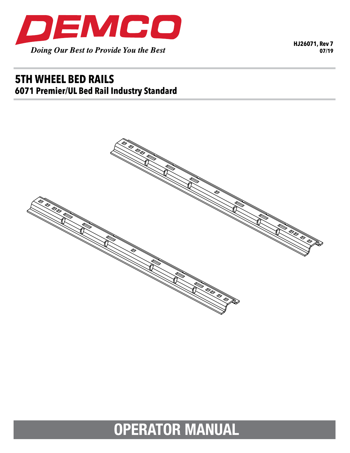

**HJ26071, Rev 7 07/19**

## **5th wheel bed rails 6071 Premier/UL Bed Rail Industry Standard**



# **OPERATOR MANUAL**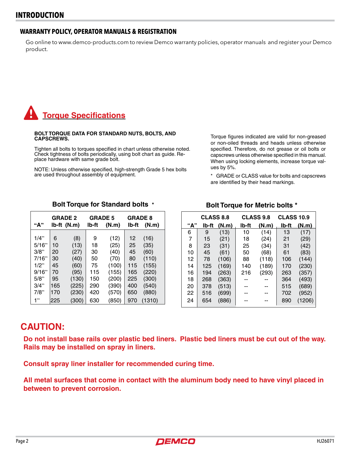## **INTRODUCTION**

## **WARRANTY POLICY, OPERATOR MANUALS & REGISTRATION**

Go online to www.demco-products.com to review Demco warranty policies, operator manuals and register your Demco product.



### **BOLT TORQUE DATA FOR STANDARD NUTS, BOLTS, AND CAPSCREWS.**

Tighten all bolts to torques specified in chart unless otherwise noted. Check tightness of bolts periodically, using bolt chart as guide. Replace hardware with same grade bolt.

NOTE: Unless otherwise specified, high-strength Grade 5 hex bolts are used throughout assembly of equipment.

Torque figures indicated are valid for non-greased or non-oiled threads and heads unless otherwise specified. Therefore, do not grease or oil bolts or capscrews unless otherwise specified in this manual. When using locking elements, increase torque values by 5%.

GRADE or CLASS value for bolts and capscrews are identified by their head markings.

| "А"     | <b>GRADE 2</b><br>Ib-ft (N.m) |       | <b>GRADE 5</b><br>lb-ft<br>(N.m) |       | <b>GRADE 8</b><br>lb-ft<br>(N.m) |        |
|---------|-------------------------------|-------|----------------------------------|-------|----------------------------------|--------|
| $1/4$ " | 6                             | (8)   | 9                                | (12)  | 12                               | (16)   |
| 5/16"   | 10                            | (13)  | 18                               | (25)  | 25                               | (35)   |
| 3/8"    | 20                            | (27)  | 30                               | (40)  | 45                               | (60)   |
| 7/16"   | 30                            | (40)  | 50                               | (70)  | 80                               | (110)  |
| 1/2"    | 45                            | (60)  | 75                               | (100) | 115                              | (155)  |
| 9/16"   | 70                            | (95)  | 115                              | (155) | 165                              | (220)  |
| 5/8"    | 95                            | (130) | 150                              | (200) | 225                              | (300)  |
| 3/4"    | 165                           | (225) | 290                              | (390) | 400                              | (540)  |
| 7/8"    | 170                           | (230) | 420                              | (570) | 650                              | (880)  |
| 1"      | 225                           | (300) | 630                              | (850) | 970                              | (1310) |

## **Bolt Torque for Standard bolts \***

| <b>CLASS 8.8</b> |    |                  |    |                | CLASS 9.8 CLASS 10.9 |             |  |
|------------------|----|------------------|----|----------------|----------------------|-------------|--|
| "А"              |    | $Ib$ -ft $(N.m)$ |    | $lb$ -ft (N.m) |                      | lb-ft (N.m) |  |
| 6                |    | (13)             | 10 | (14)           | 13                   | (17)        |  |
|                  | 15 | (21)             | 18 | (24)           | 21                   | (29)        |  |

 23 (31) 25 (34) 31 (42) 45 (61) 50 (68) 61 (83) 78 (106) 88 (118) 106 (144) 125 (169) 140 (189) 170 (230) 194 (263) 216 (293) 263 (357) 268 (363) -- -- 364 (493) 378 (513) -- -- 515 (689) 516 (699) -- -- 702 (952) 654 (886) -- -- 890 (1206)

## **Bolt Torque for Metric bolts \***

**Do not install base rails over plastic bed liners. Plastic bed liners must be cut out of the way. Rails may be installed on spray in liners.**

**Consult spray liner installer for recommended curing time.**

**All metal surfaces that come in contact with the aluminum body need to have vinyl placed in between to prevent corrosion.**

**CAUTION:**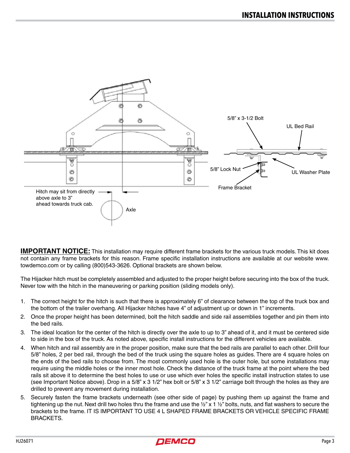

**IMPORTANT NOTICE:** This installation may require different frame brackets for the various truck models. This kit does not contain any frame brackets for this reason. Frame specific installation instructions are available at our website www. towdemco.com or by calling (800)543-3626. Optional brackets are shown below.

The Hijacker hitch must be completely assembled and adjusted to the proper height before securing into the box of the truck. Never tow with the hitch in the maneuvering or parking position (sliding models only).

- 1. The correct height for the hitch is such that there is approximately 6" of clearance between the top of the truck box and the bottom of the trailer overhang. All Hijacker hitches have 4" of adjustment up or down in 1" increments.
- 2. Once the proper height has been determined, bolt the hitch saddle and side rail assemblies together and pin them into the bed rails.
- 3. The ideal location for the center of the hitch is directly over the axle to up to 3" ahead of it, and it must be centered side to side in the box of the truck. As noted above, specific install instructions for the different vehicles are available.
- 4. When hitch and rail assembly are in the proper position, make sure that the bed rails are parallel to each other. Drill four 5/8" holes, 2 per bed rail, through the bed of the truck using the square holes as guides. There are 4 square holes on the ends of the bed rails to choose from. The most commonly used hole is the outer hole, but some installations may require using the middle holes or the inner most hole. Check the distance of the truck frame at the point where the bed rails sit above it to determine the best holes to use or use which ever holes the specific install instruction states to use (see Important Notice above). Drop in a 5/8" x 3 1/2" hex bolt or 5/8" x 3 1/2" carriage bolt through the holes as they are drilled to prevent any movement during installation.
- 5. Securely fasten the frame brackets underneath (see other side of page) by pushing them up against the frame and tightening up the nut. Next drill two holes thru the frame and use the  $\frac{1}{2}$ " x 1  $\frac{1}{2}$ " bolts, nuts, and flat washers to secure the brackets to the frame. IT IS IMPORTANT TO USE 4 L SHAPED FRAME BRACKETS OR VEHICLE SPECIFIC FRAME BRACKETS.